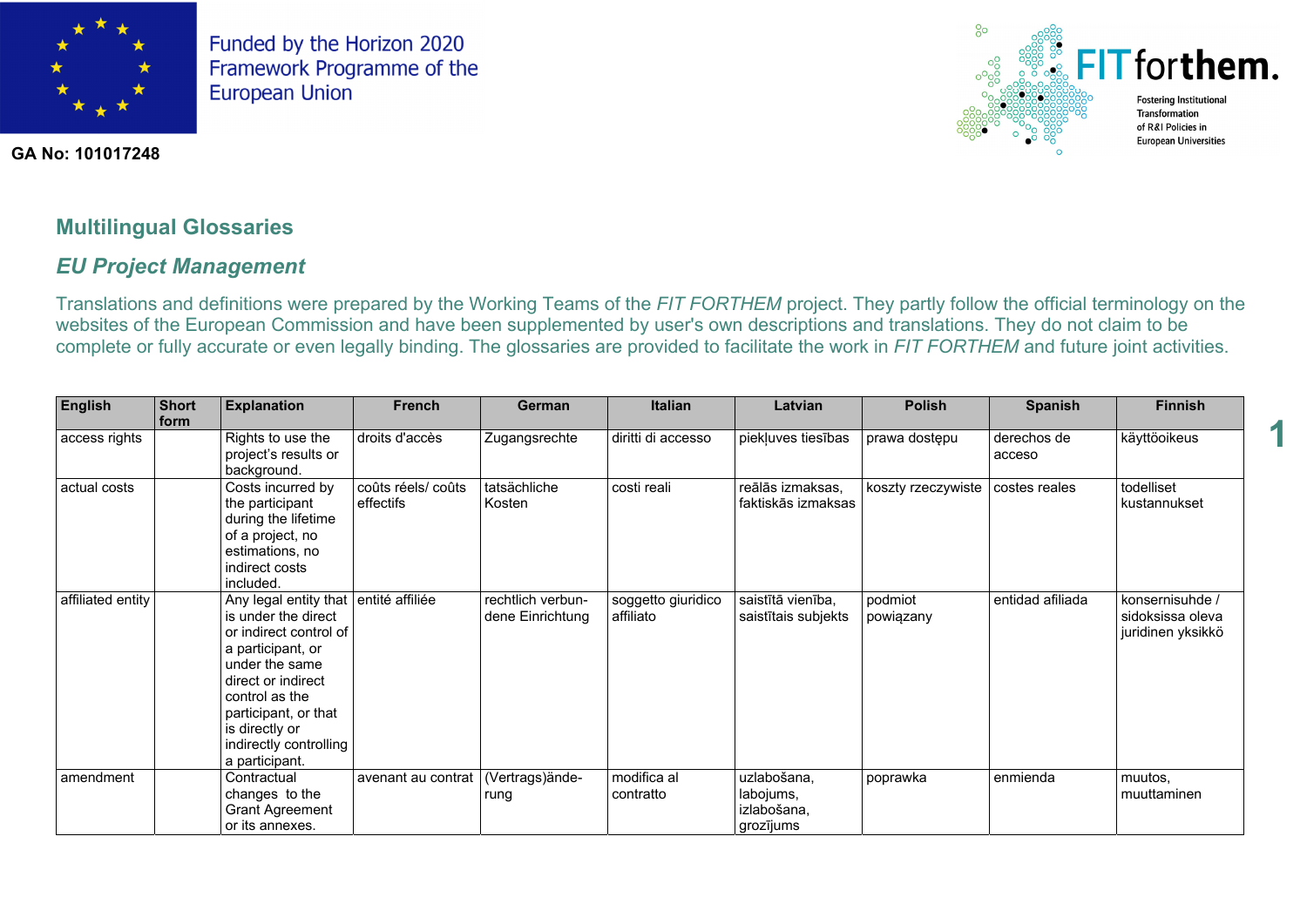



**1** 

**GA No: 101017248**

## **Multilingual Glossaries**

### *EU Project Management*

Translations and definitions were prepared by the Working Teams of the *FIT FORTHEM* project. They partly follow the official terminology on the websites of the European Commission and have been supplemented by user's own descriptions and translations. They do not claim to be complete or fully accurate or even legally binding. The glossaries are provided to facilitate the work in *FIT FORTHEM* and future joint activities.

| <b>English</b>    | <b>Short</b><br>form | <b>Explanation</b>                                                                                                                                                                                                                          | <b>French</b>                  | <b>German</b>                         | <b>Italian</b>                  | Latvian                                              | <b>Polish</b>        | <b>Spanish</b>        | <b>Finnish</b>                                           |
|-------------------|----------------------|---------------------------------------------------------------------------------------------------------------------------------------------------------------------------------------------------------------------------------------------|--------------------------------|---------------------------------------|---------------------------------|------------------------------------------------------|----------------------|-----------------------|----------------------------------------------------------|
| access rights     |                      | Rights to use the<br>project's results or<br>background.                                                                                                                                                                                    | droits d'accès                 | Zugangsrechte                         | diritti di accesso              | piekļuves tiesības                                   | prawa dostępu        | derechos de<br>acceso | käyttöoikeus                                             |
| actual costs      |                      | Costs incurred by<br>the participant<br>during the lifetime<br>of a project, no<br>estimations, no<br>indirect costs<br>included.                                                                                                           | coûts réels/coûts<br>effectifs | tatsächliche<br>Kosten                | costi reali                     | reālās izmaksas,<br>faktiskās izmaksas               | koszty rzeczywiste   | costes reales         | todelliset<br>kustannukset                               |
| affiliated entity |                      | Any legal entity that<br>is under the direct<br>or indirect control of<br>a participant, or<br>under the same<br>direct or indirect<br>control as the<br>participant, or that<br>is directly or<br>indirectly controlling<br>a participant. | entité affiliée                | rechtlich verbun-<br>dene Einrichtung | soggetto giuridico<br>affiliato | saistītā vienība,<br>saistītais subjekts             | podmiot<br>powiązany | entidad afiliada      | konsernisuhde /<br>sidoksissa oleva<br>juridinen yksikkö |
| amendment         |                      | Contractual<br>changes to the<br><b>Grant Agreement</b><br>or its annexes.                                                                                                                                                                  | avenant au contrat             | (Vertrags)ände-<br>rung               | modifica al<br>contratto        | uzlabošana,<br>labojums,<br>izlabošana,<br>grozījums | poprawka             | enmienda              | muutos,<br>muuttaminen                                   |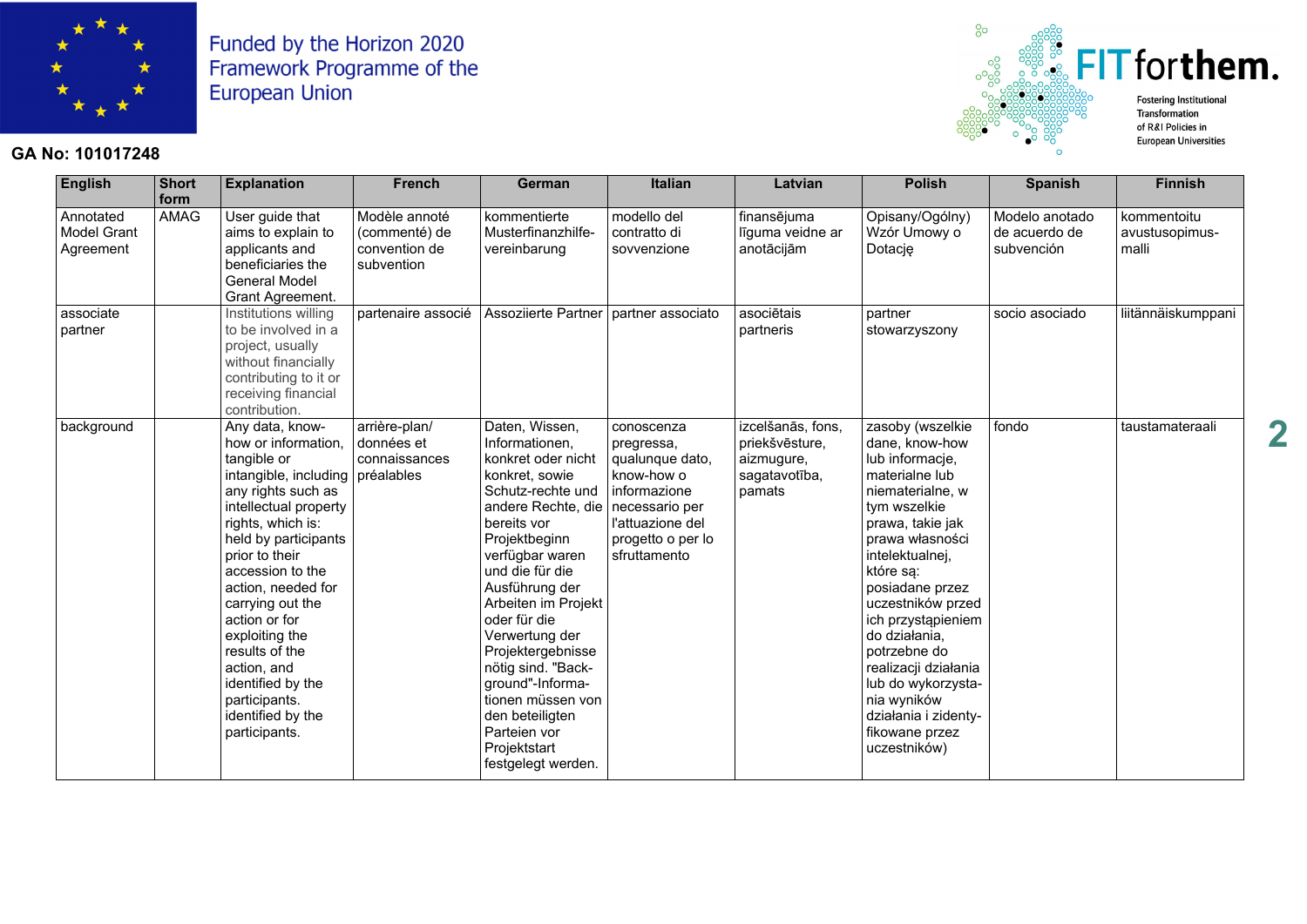

#### **GA No: 101017248**



| English                                      | <b>Short</b><br>form | <b>Explanation</b>                                                                                                                                                                                                                                                                                                                                                                                         | <b>French</b>                                                 | German                                                                                                                                                                                                                                                                                                                                                                                                                            | <b>Italian</b>                                                                                                                                       | Latvian                                                                      | <b>Polish</b>                                                                                                                                                                                                                                                                                                                                                                                            | <b>Spanish</b>                                | <b>Finnish</b>                         |
|----------------------------------------------|----------------------|------------------------------------------------------------------------------------------------------------------------------------------------------------------------------------------------------------------------------------------------------------------------------------------------------------------------------------------------------------------------------------------------------------|---------------------------------------------------------------|-----------------------------------------------------------------------------------------------------------------------------------------------------------------------------------------------------------------------------------------------------------------------------------------------------------------------------------------------------------------------------------------------------------------------------------|------------------------------------------------------------------------------------------------------------------------------------------------------|------------------------------------------------------------------------------|----------------------------------------------------------------------------------------------------------------------------------------------------------------------------------------------------------------------------------------------------------------------------------------------------------------------------------------------------------------------------------------------------------|-----------------------------------------------|----------------------------------------|
| Annotated<br><b>Model Grant</b><br>Agreement | <b>AMAG</b>          | User guide that<br>aims to explain to<br>applicants and<br>beneficiaries the<br>General Model<br>Grant Agreement.                                                                                                                                                                                                                                                                                          | Modèle annoté<br>(commenté) de<br>convention de<br>subvention | kommentierte<br>Musterfinanzhilfe-<br>vereinbarung                                                                                                                                                                                                                                                                                                                                                                                | modello del<br>contratto di<br>sovvenzione                                                                                                           | finansējuma<br>līguma veidne ar<br>anotācijām                                | Opisany/Ogólny)<br>Wzór Umowy o<br>Dotację                                                                                                                                                                                                                                                                                                                                                               | Modelo anotado<br>de acuerdo de<br>subvención | kommentoitu<br>avustusopimus-<br>malli |
| associate<br>partner                         |                      | Institutions willing<br>to be involved in a<br>project, usually<br>without financially<br>contributing to it or<br>receiving financial<br>contribution.                                                                                                                                                                                                                                                    | partenaire associé                                            | Assoziierte Partner                                                                                                                                                                                                                                                                                                                                                                                                               | partner associato                                                                                                                                    | asociētais<br>partneris                                                      | partner<br>stowarzyszony                                                                                                                                                                                                                                                                                                                                                                                 | socio asociado                                | liitännäiskumppani                     |
| background                                   |                      | Any data, know-<br>how or information.<br>tangible or<br>intangible, including<br>any rights such as<br>intellectual property<br>rights, which is:<br>held by participants<br>prior to their<br>accession to the<br>action, needed for<br>carrying out the<br>action or for<br>exploiting the<br>results of the<br>action, and<br>identified by the<br>participants.<br>identified by the<br>participants. | arrière-plan/<br>données et<br>connaissances<br>préalables    | Daten, Wissen,<br>Informationen,<br>konkret oder nicht<br>konkret, sowie<br>Schutz-rechte und<br>andere Rechte, die<br>bereits vor<br>Projektbeginn<br>verfügbar waren<br>und die für die<br>Ausführung der<br>Arbeiten im Projekt<br>oder für die<br>Verwertung der<br>Projektergebnisse<br>nötig sind. "Back-<br>ground"-Informa-<br>tionen müssen von<br>den beteiligten<br>Parteien vor<br>Projektstart<br>festgelegt werden. | conoscenza<br>pregressa,<br>qualunque dato,<br>know-how o<br>informazione<br>necessario per<br>l'attuazione del<br>progetto o per lo<br>sfruttamento | izcelšanās, fons,<br>priekšvēsture,<br>aizmugure,<br>sagatavotība,<br>pamats | zasoby (wszelkie<br>dane, know-how<br>lub informacje,<br>materialne lub<br>niematerialne, w<br>tym wszelkie<br>prawa, takie jak<br>prawa własności<br>intelektualnej,<br>które sa:<br>posiadane przez<br>uczestników przed<br>ich przystąpieniem<br>do działania,<br>potrzebne do<br>realizacji działania<br>lub do wykorzysta-<br>nia wyników<br>działania i zidenty-<br>fikowane przez<br>uczestników) | fondo                                         | taustamateraali                        |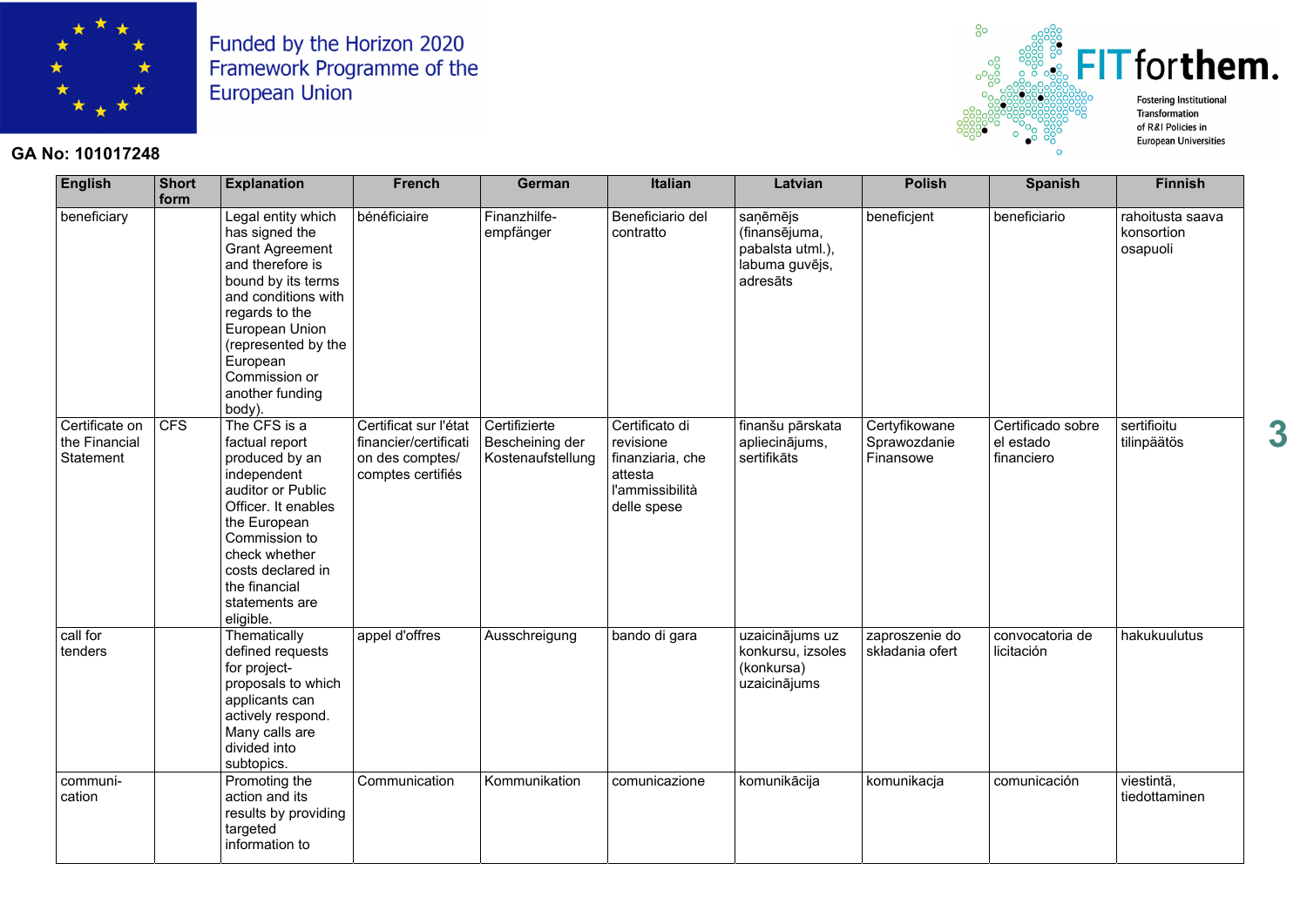

#### **GA No: 101017248**



| <b>English</b>                               | Short<br>form | <b>Explanation</b>                                                                                                                                                                                                                                   | <b>French</b>                                                                          | <b>German</b>                                         | <b>Italian</b>                                                                               | Latvian                                                                     | <b>Polish</b>                              | <b>Spanish</b>                               | <b>Finnish</b>                             |
|----------------------------------------------|---------------|------------------------------------------------------------------------------------------------------------------------------------------------------------------------------------------------------------------------------------------------------|----------------------------------------------------------------------------------------|-------------------------------------------------------|----------------------------------------------------------------------------------------------|-----------------------------------------------------------------------------|--------------------------------------------|----------------------------------------------|--------------------------------------------|
| beneficiary                                  |               | Legal entity which<br>has signed the<br><b>Grant Agreement</b><br>and therefore is<br>bound by its terms<br>and conditions with<br>regards to the<br>European Union<br>(represented by the<br>European<br>Commission or<br>another funding<br>body). | bénéficiaire                                                                           | Finanzhilfe-<br>empfänger                             | Beneficiario del<br>contratto                                                                | saņēmējs<br>(finansējuma,<br>pabalsta utml.),<br>labuma guvējs,<br>adresāts | beneficjent                                | beneficiario                                 | rahoitusta saava<br>konsortion<br>osapuoli |
| Certificate on<br>the Financial<br>Statement | CFS           | The CFS is a<br>factual report<br>produced by an<br>independent<br>auditor or Public<br>Officer. It enables<br>the European<br>Commission to<br>check whether<br>costs declared in<br>the financial<br>statements are<br>eligible.                   | Certificat sur l'état<br>financier/certificati<br>on des comptes/<br>comptes certifiés | Certifizierte<br>Bescheining der<br>Kostenaufstellung | Certificato di<br>revisione<br>finanziaria, che<br>attesta<br>l'ammissibilità<br>delle spese | finanšu pārskata<br>apliecinājums,<br>sertifikāts                           | Certyfikowane<br>Sprawozdanie<br>Finansowe | Certificado sobre<br>el estado<br>financiero | sertifioitu<br>tilinpäätös                 |
| call for<br>tenders                          |               | Thematically<br>defined requests<br>for project-<br>proposals to which<br>applicants can<br>actively respond.<br>Many calls are<br>divided into<br>subtopics.                                                                                        | appel d'offres                                                                         | Ausschreigung                                         | bando di gara                                                                                | uzaicinājums uz<br>konkursu, izsoles<br>(konkursa)<br>uzaicinājums          | zaproszenie do<br>składania ofert          | convocatoria de<br>licitación                | hakukuulutus                               |
| communi-<br>cation                           |               | Promoting the<br>action and its<br>results by providing<br>targeted<br>information to                                                                                                                                                                | Communication                                                                          | Kommunikation                                         | comunicazione                                                                                | komunikācija                                                                | komunikacja                                | comunicación                                 | viestintä,<br>tiedottaminen                |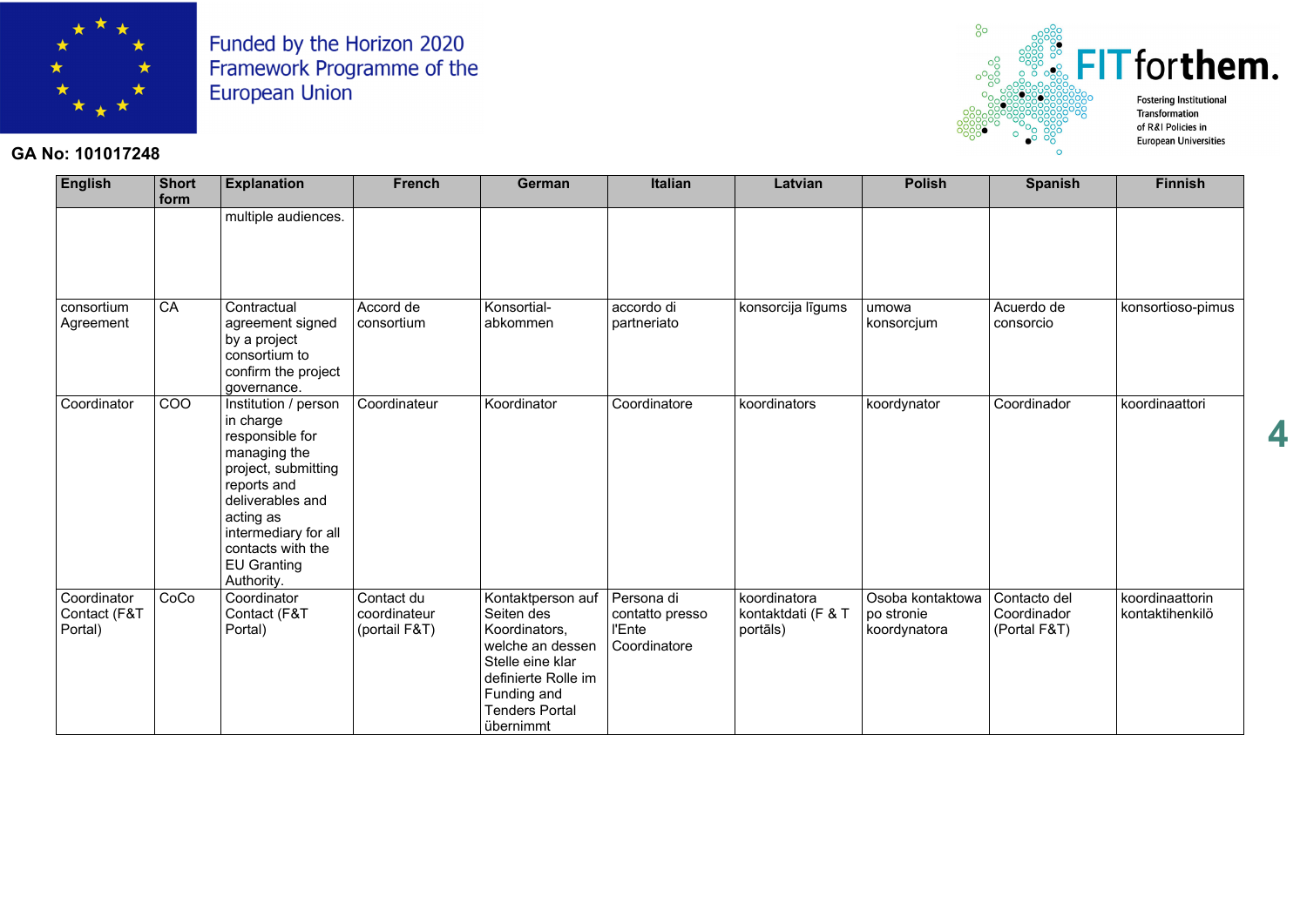

#### **GA No: 101017248**



| English                                | Short<br>form | <b>Explanation</b>                                                                                                                                                                                                           | <b>French</b>                               | German                                                                                                                                                               | <b>Italian</b>                                          | Latvian                                        | <b>Polish</b>                                  | <b>Spanish</b>                              | <b>Finnish</b>                     |
|----------------------------------------|---------------|------------------------------------------------------------------------------------------------------------------------------------------------------------------------------------------------------------------------------|---------------------------------------------|----------------------------------------------------------------------------------------------------------------------------------------------------------------------|---------------------------------------------------------|------------------------------------------------|------------------------------------------------|---------------------------------------------|------------------------------------|
|                                        |               | multiple audiences.                                                                                                                                                                                                          |                                             |                                                                                                                                                                      |                                                         |                                                |                                                |                                             |                                    |
| consortium<br>Agreement                | CA            | Contractual<br>agreement signed<br>by a project<br>consortium to<br>confirm the project<br>governance.                                                                                                                       | Accord de<br>consortium                     | Konsortial-<br>abkommen                                                                                                                                              | accordo di<br>partneriato                               | konsorcija līgums                              | umowa<br>konsorcjum                            | Acuerdo de<br>consorcio                     | konsortioso-pimus                  |
| Coordinator                            | COO           | Institution / person<br>in charge<br>responsible for<br>managing the<br>project, submitting<br>reports and<br>deliverables and<br>acting as<br>intermediary for all<br>contacts with the<br><b>EU Granting</b><br>Authority. | Coordinateur                                | Koordinator                                                                                                                                                          | Coordinatore                                            | koordinators                                   | koordynator                                    | Coordinador                                 | koordinaattori                     |
| Coordinator<br>Contact (F&T<br>Portal) | CoCo          | Coordinator<br>Contact (F&T<br>Portal)                                                                                                                                                                                       | Contact du<br>coordinateur<br>(portail F&T) | Kontaktperson auf<br>Seiten des<br>Koordinators,<br>welche an dessen<br>Stelle eine klar<br>definierte Rolle im<br>Funding and<br><b>Tenders Portal</b><br>übernimmt | Persona di<br>contatto presso<br>l'Ente<br>Coordinatore | koordinatora<br>kontaktdati (F & T<br>portāls) | Osoba kontaktowa<br>po stronie<br>koordynatora | Contacto del<br>Coordinador<br>(Portal F&T) | koordinaattorin<br>kontaktihenkilö |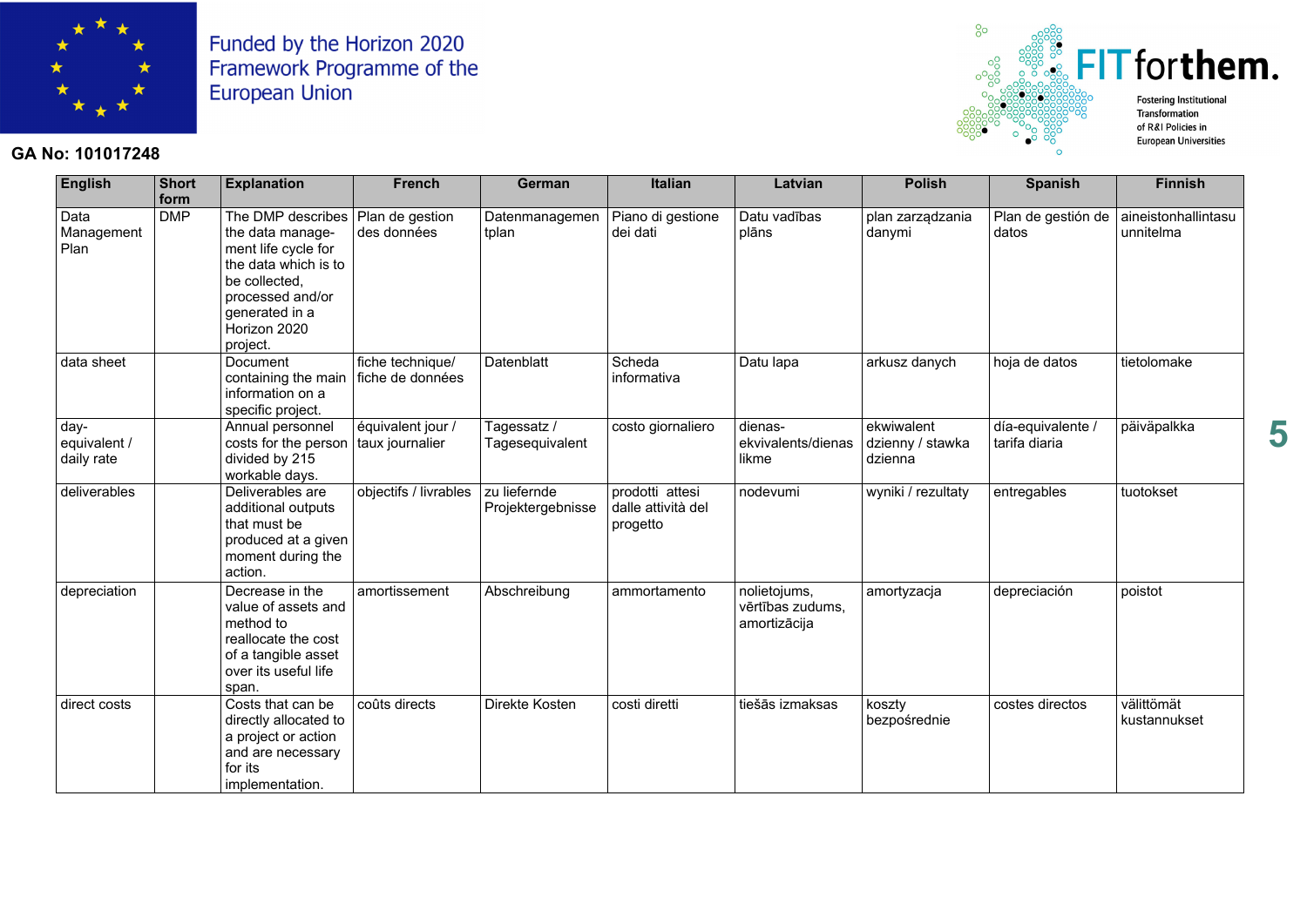

#### **GA No: 101017248**



| <b>English</b>                     | <b>Short</b><br>form | <b>Explanation</b>                                                                                                                                                      | <b>French</b>                        | German                            | <b>Italian</b>                                    | Latvian                                          | <b>Polish</b>                             | <b>Spanish</b>                     | <b>Finnish</b>                   |
|------------------------------------|----------------------|-------------------------------------------------------------------------------------------------------------------------------------------------------------------------|--------------------------------------|-----------------------------------|---------------------------------------------------|--------------------------------------------------|-------------------------------------------|------------------------------------|----------------------------------|
| Data<br>Management<br>Plan         | <b>DMP</b>           | The DMP describes<br>the data manage-<br>ment life cycle for<br>the data which is to<br>be collected,<br>processed and/or<br>generated in a<br>Horizon 2020<br>project. | Plan de gestion<br>des données       | Datenmanagemen<br>tplan           | Piano di gestione<br>dei dati                     | Datu vadības<br>plāns                            | plan zarządzania<br>danymi                | Plan de gestión de<br>datos        | aineistonhallintasu<br>unnitelma |
| data sheet                         |                      | Document<br>containing the main fiche de données<br>information on a<br>specific project.                                                                               | fiche technique/                     | Datenblatt                        | Scheda<br>informativa                             | Datu lapa                                        | arkusz danych                             | hoja de datos                      | tietolomake                      |
| day-<br>equivalent /<br>daily rate |                      | Annual personnel<br>costs for the person<br>divided by 215<br>workable days.                                                                                            | équivalent jour /<br>taux journalier | Tagessatz /<br>Tagesequivalent    | costo giornaliero                                 | dienas-<br>ekvivalents/dienas<br>likme           | ekwiwalent<br>dzienny / stawka<br>dzienna | día-equivalente /<br>tarifa diaria | päiväpalkka                      |
| deliverables                       |                      | Deliverables are<br>additional outputs<br>that must be<br>produced at a given<br>moment during the<br>action.                                                           | objectifs / livrables                | zu liefernde<br>Projektergebnisse | prodotti attesi<br>dalle attività del<br>progetto | nodevumi                                         | wyniki / rezultaty                        | entregables                        | tuotokset                        |
| depreciation                       |                      | Decrease in the<br>value of assets and<br>method to<br>reallocate the cost<br>of a tangible asset<br>over its useful life<br>span.                                      | amortissement                        | Abschreibung                      | ammortamento                                      | nolietojums,<br>vērtības zudums,<br>amortizācija | amortyzacja                               | depreciación                       | poistot                          |
| direct costs                       |                      | Costs that can be<br>directly allocated to<br>a project or action<br>and are necessary<br>for its<br>implementation.                                                    | coûts directs                        | Direkte Kosten                    | costi diretti                                     | tiešās izmaksas                                  | koszty<br>bezpośrednie                    | costes directos                    | välittömät<br>kustannukset       |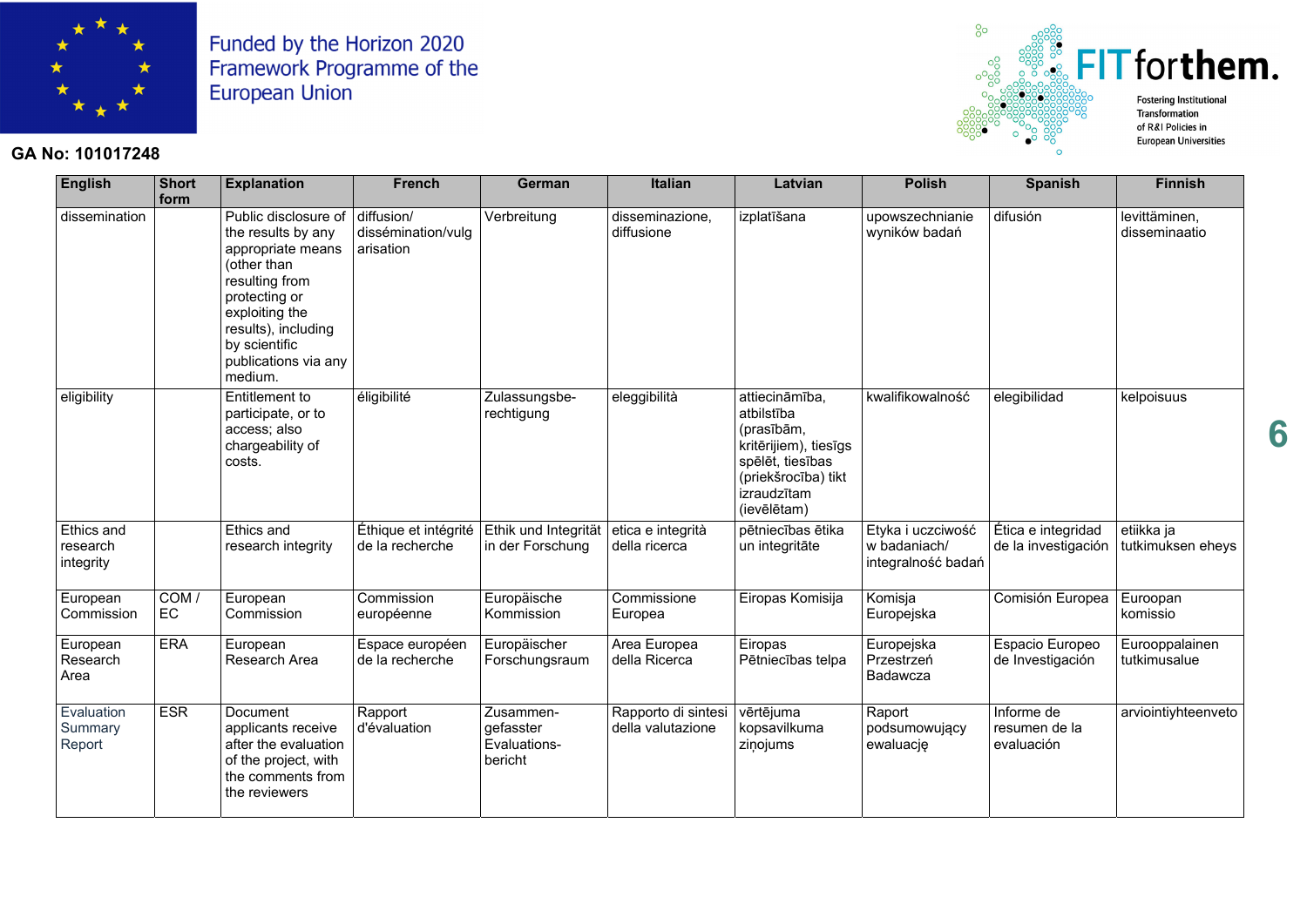

#### **GA No: 101017248**



| <b>English</b>                      | Short<br>form | <b>Explanation</b>                                                                                                                                                                                             | <b>French</b>                                 | German                                            | <b>Italian</b>                           | Latvian                                                                                                                                      | <b>Polish</b>                                           | <b>Spanish</b>                            | <b>Finnish</b>                  |
|-------------------------------------|---------------|----------------------------------------------------------------------------------------------------------------------------------------------------------------------------------------------------------------|-----------------------------------------------|---------------------------------------------------|------------------------------------------|----------------------------------------------------------------------------------------------------------------------------------------------|---------------------------------------------------------|-------------------------------------------|---------------------------------|
| dissemination                       |               | Public disclosure of<br>the results by any<br>appropriate means<br>(other than<br>resulting from<br>protecting or<br>exploiting the<br>results), including<br>by scientific<br>publications via any<br>medium. | diffusion/<br>dissémination/vulg<br>arisation | Verbreitung                                       | disseminazione.<br>diffusione            | izplatīšana                                                                                                                                  | upowszechnianie<br>wyników badań                        | difusión                                  | levittäminen,<br>disseminaatio  |
| eligibility                         |               | Entitlement to<br>participate, or to<br>access; also<br>chargeability of<br>costs.                                                                                                                             | éligibilité                                   | Zulassungsbe-<br>rechtigung                       | eleggibilità                             | attiecināmība,<br>atbilstība<br>(prasībām,<br>kritērijiem), tiesīgs<br>spēlēt, tiesības<br>(priekšrocība) tikt<br>izraudzītam<br>(ievēlētam) | kwalifikowalność                                        | elegibilidad                              | kelpoisuus                      |
| Ethics and<br>research<br>integrity |               | Ethics and<br>research integrity                                                                                                                                                                               | Éthique et intégrité<br>de la recherche       | Ethik und Integrität<br>in der Forschung          | etica e integrità<br>della ricerca       | pētniecības ētika<br>un integritāte                                                                                                          | Etyka i uczciwość<br>w badaniach/<br>integralność badań | Ética e integridad<br>de la investigación | etiikka ja<br>tutkimuksen eheys |
| European<br>Commission              | COM/<br>EC    | European<br>Commission                                                                                                                                                                                         | Commission<br>européenne                      | Europäische<br>Kommission                         | Commissione<br>Europea                   | Eiropas Komisija                                                                                                                             | Komisja<br>Europejska                                   | Comisión Europea                          | Euroopan<br>komissio            |
| European<br>Research<br>Area        | <b>ERA</b>    | European<br>Research Area                                                                                                                                                                                      | Espace européen<br>de la recherche            | Europäischer<br>Forschungsraum                    | Area Europea<br>della Ricerca            | Eiropas<br>Pētniecības telpa                                                                                                                 | Europejska<br>Przestrzeń<br>Badawcza                    | Espacio Europeo<br>de Investigación       | Eurooppalainen<br>tutkimusalue  |
| Evaluation<br>Summary<br>Report     | <b>ESR</b>    | Document<br>applicants receive<br>after the evaluation<br>of the project, with<br>the comments from<br>the reviewers                                                                                           | Rapport<br>d'évaluation                       | Zusammen-<br>gefasster<br>Evaluations-<br>bericht | Rapporto di sintesi<br>della valutazione | vērtējuma<br>kopsavilkuma<br>ziņojums                                                                                                        | Raport<br>podsumowujący<br>ewaluację                    | Informe de<br>resumen de la<br>evaluación | arviointiyhteenveto             |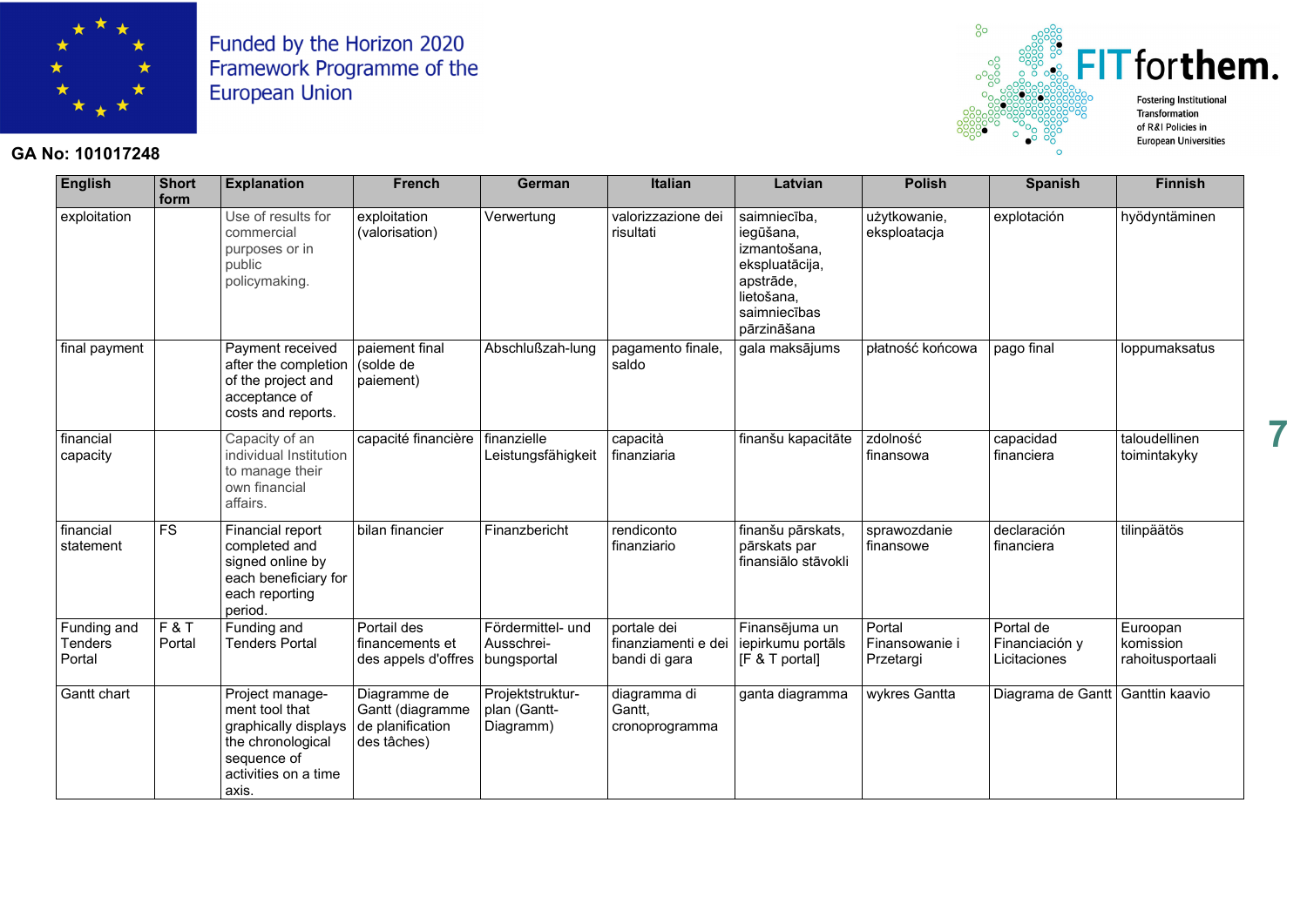

# **SEET for them. Fostering Institutional** Transformation

**7** 

**GA No: 101017248**



 $^{0}$ 

**English Short form** Explanation | French | German | Italian | Latvian | Polish | Spanish | Finnish exploitation Use of results for commercial purposes or in public policymaking. exploitation (valorisation) Verwertung valorizzazione dei risultati saimniecība, iegūšana, izmantošana, ekspluatācija, apstrāde, lietošana, saimniecības pārzināšana <sup>u</sup>żytkowanie, eksploatacja explotación hyödyntäminen final payment | Payment received after the completion of the project and acceptance of costs and reports. paiement final (solde de paiement) Abschlußzah-lung pagamento finale, saldo gala maksājums | płatność końcowa | pago final | loppumaksatus financial capacity Capacity of an individual Institution to manage their own financial affairs. capacité financière finanzielle Leistungsfähigkeit capacità finanziaria finanšu kapacitāte zdolność finansowa capacidad financiera taloudellinen toimintakyky financial statement FS Financial report completed and signed online by each beneficiary for each reporting period. bilan financier Finanzbericht rendiconto finanziario finanšu pārskats, pārskats par finansiālo stāvokli sprawozdanie finansowe declaración financiera tilinpäätös Funding and **Tenders** Portal F & T Portal Funding and Tenders Portal Portail des financements et des appels d'offres Fördermittel- und Ausschreibungsportal portale dei finanziamenti e dei bandi di gara Finansējuma un iepirkumu portāls IF & T portall Portal Finansowanie i **Przetargi** Portal de Financiación y Licitaciones Euroopan komission rahoitusportaali Gantt chart | Project management tool that graphically displays the chronological sequence of activities on a time axis. Diagramme de Gantt (diagramme de planification des tâches) Projektstrukturplan (Gantt-Projektstruktur- diagramma di diagramma wykres Gantta Diagrama de Gantt Ganttin kaavio<br>plan (Gantt- Gantt, Gantt, Gantta diagramma diagramma diagrama de Gantt Ganttin kaavio<br>Diagramm)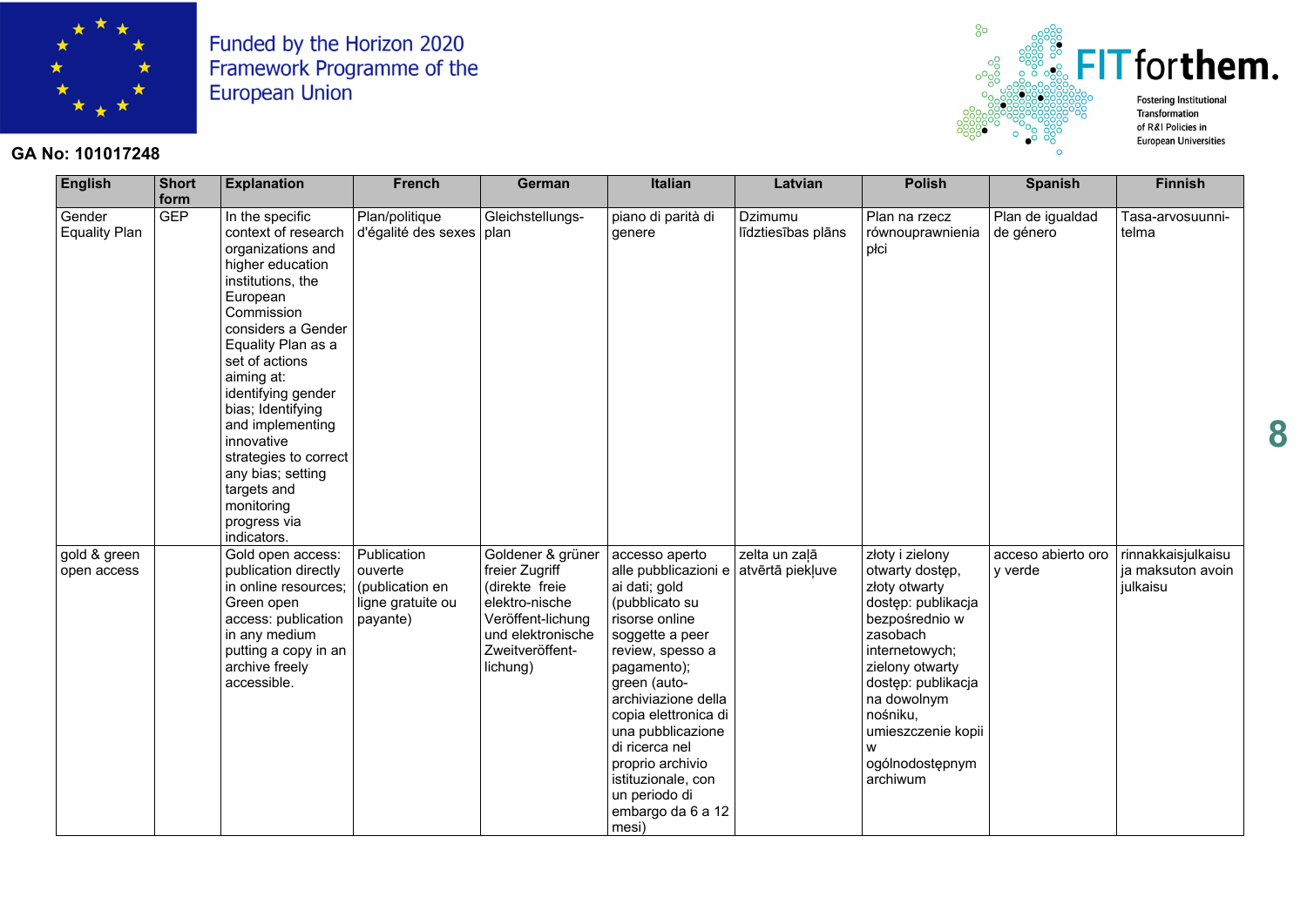

#### **GA No: 101017248**



| <b>English</b>                 | <b>Short</b><br>form | <b>Explanation</b>                                                                                                                                                                                                                                                                                                                                                                                | <b>French</b>                                                              | German                                                                                                                                                          | Italian                                                                                                                                                                                                                                                                                                                                         | Latvian                       | <b>Polish</b>                                                                                                                                                                                                                                      | <b>Spanish</b>                | <b>Finnish</b>                                      |
|--------------------------------|----------------------|---------------------------------------------------------------------------------------------------------------------------------------------------------------------------------------------------------------------------------------------------------------------------------------------------------------------------------------------------------------------------------------------------|----------------------------------------------------------------------------|-----------------------------------------------------------------------------------------------------------------------------------------------------------------|-------------------------------------------------------------------------------------------------------------------------------------------------------------------------------------------------------------------------------------------------------------------------------------------------------------------------------------------------|-------------------------------|----------------------------------------------------------------------------------------------------------------------------------------------------------------------------------------------------------------------------------------------------|-------------------------------|-----------------------------------------------------|
| Gender<br><b>Equality Plan</b> | <b>GEP</b>           | In the specific<br>context of research<br>organizations and<br>higher education<br>institutions, the<br>European<br>Commission<br>considers a Gender<br>Equality Plan as a<br>set of actions<br>aiming at:<br>identifying gender<br>bias; Identifying<br>and implementing<br>innovative<br>strategies to correct<br>any bias; setting<br>targets and<br>monitoring<br>progress via<br>indicators. | Plan/politique<br>d'égalité des sexes                                      | Gleichstellungs-<br>plan                                                                                                                                        | piano di parità di<br>genere                                                                                                                                                                                                                                                                                                                    | Dzimumu<br>līdztiesības plāns | Plan na rzecz<br>równouprawnienia<br>płci                                                                                                                                                                                                          | Plan de igualdad<br>de género | Tasa-arvosuunni-<br>telma                           |
| gold & green<br>open access    |                      | Gold open access:<br>publication directly<br>in online resources;<br>Green open<br>access: publication<br>in any medium<br>putting a copy in an<br>archive freely<br>accessible.                                                                                                                                                                                                                  | Publication<br>ouverte<br>(publication en<br>ligne gratuite ou<br>payante) | Goldener & grüner accesso aperto<br>freier Zugriff<br>(direkte freie<br>elektro-nische<br>Veröffent-lichung<br>und elektronische<br>Zweitveröffent-<br>lichung) | alle pubblicazioni e atvērtā piekļuve<br>ai dati; gold<br>(pubblicato su<br>risorse online<br>soggette a peer<br>review, spesso a<br>pagamento);<br>green (auto-<br>archiviazione della<br>copia elettronica di<br>una pubblicazione<br>di ricerca nel<br>proprio archivio<br>istituzionale, con<br>un periodo di<br>embargo da 6 a 12<br>mesi) | zelta un zalā                 | złoty i zielony<br>otwarty dostęp,<br>złoty otwarty<br>dostęp: publikacja<br>bezpośrednio w<br>zasobach<br>internetowych;<br>zielony otwarty<br>dostęp: publikacja<br>na dowolnym<br>nośniku,<br>umieszczenie kopii<br>ogólnodostępnym<br>archiwum | acceso abierto oro<br>y verde | rinnakkaisjulkaisu<br>ja maksuton avoin<br>julkaisu |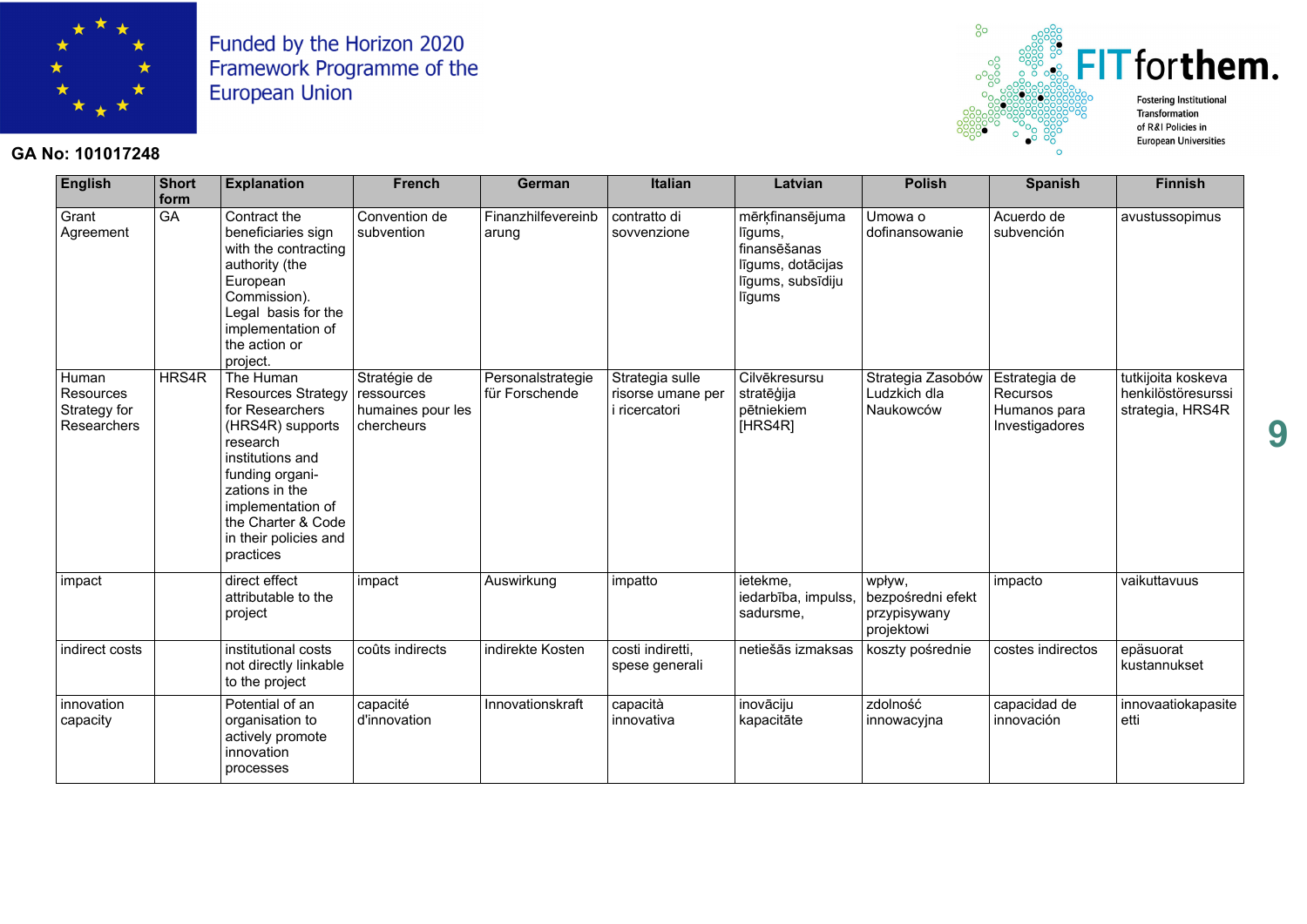

#### **GA No: 101017248**



| <b>English</b>                                           | <b>Short</b><br>form | <b>Explanation</b>                                                                                                                                                                                                           | <b>French</b>                                                 | German                              | <b>Italian</b>                                        | Latvian                                                                                        | <b>Polish</b>                                             | <b>Spanish</b>                                              | <b>Finnish</b>                                               |
|----------------------------------------------------------|----------------------|------------------------------------------------------------------------------------------------------------------------------------------------------------------------------------------------------------------------------|---------------------------------------------------------------|-------------------------------------|-------------------------------------------------------|------------------------------------------------------------------------------------------------|-----------------------------------------------------------|-------------------------------------------------------------|--------------------------------------------------------------|
| Grant<br>Agreement                                       | <b>GA</b>            | Contract the<br>beneficiaries sign<br>with the contracting<br>authority (the<br>European<br>Commission).<br>Legal basis for the<br>implementation of<br>the action or<br>project.                                            | Convention de<br>subvention                                   | Finanzhilfevereinb<br>arung         | contratto di<br>sovvenzione                           | mērķfinansējuma<br>līgums,<br>finansēšanas<br>līgums, dotācijas<br>līgums, subsīdiju<br>līgums | Umowa o<br>dofinansowanie                                 | Acuerdo de<br>subvención                                    | avustussopimus                                               |
| Human<br><b>Resources</b><br>Strategy for<br>Researchers | HRS4R                | The Human<br>Resources Strategy<br>for Researchers<br>(HRS4R) supports<br>research<br>institutions and<br>funding organi-<br>zations in the<br>implementation of<br>the Charter & Code<br>in their policies and<br>practices | Stratégie de<br>ressources<br>humaines pour les<br>chercheurs | Personalstrategie<br>für Forschende | Strategia sulle<br>risorse umane per<br>i ricercatori | Cilvēkresursu<br>stratēģija<br>pētniekiem<br>[HRS4R]                                           | Strategia Zasobów<br>Ludzkich dla<br>Naukowców            | Estrategia de<br>Recursos<br>Humanos para<br>Investigadores | tutkijoita koskeva<br>henkilöstöresurssi<br>strategia, HRS4R |
| impact                                                   |                      | direct effect<br>attributable to the<br>project                                                                                                                                                                              | impact                                                        | Auswirkung                          | impatto                                               | ietekme,<br>iedarbība, impulss<br>sadursme,                                                    | wpływ,<br>bezpośredni efekt<br>przypisywany<br>projektowi | impacto                                                     | vaikuttavuus                                                 |
| indirect costs                                           |                      | institutional costs<br>not directly linkable<br>to the project                                                                                                                                                               | coûts indirects                                               | indirekte Kosten                    | costi indiretti,<br>spese generali                    | netiešās izmaksas                                                                              | koszty pośrednie                                          | costes indirectos                                           | epäsuorat<br>kustannukset                                    |
| innovation<br>capacity                                   |                      | Potential of an<br>organisation to<br>actively promote<br>innovation<br>processes                                                                                                                                            | capacité<br>d'innovation                                      | Innovationskraft                    | capacità<br>innovativa                                | inovāciju<br>kapacitāte                                                                        | zdolność<br>innowacyjna                                   | capacidad de<br>innovación                                  | innovaatiokapasite<br>etti                                   |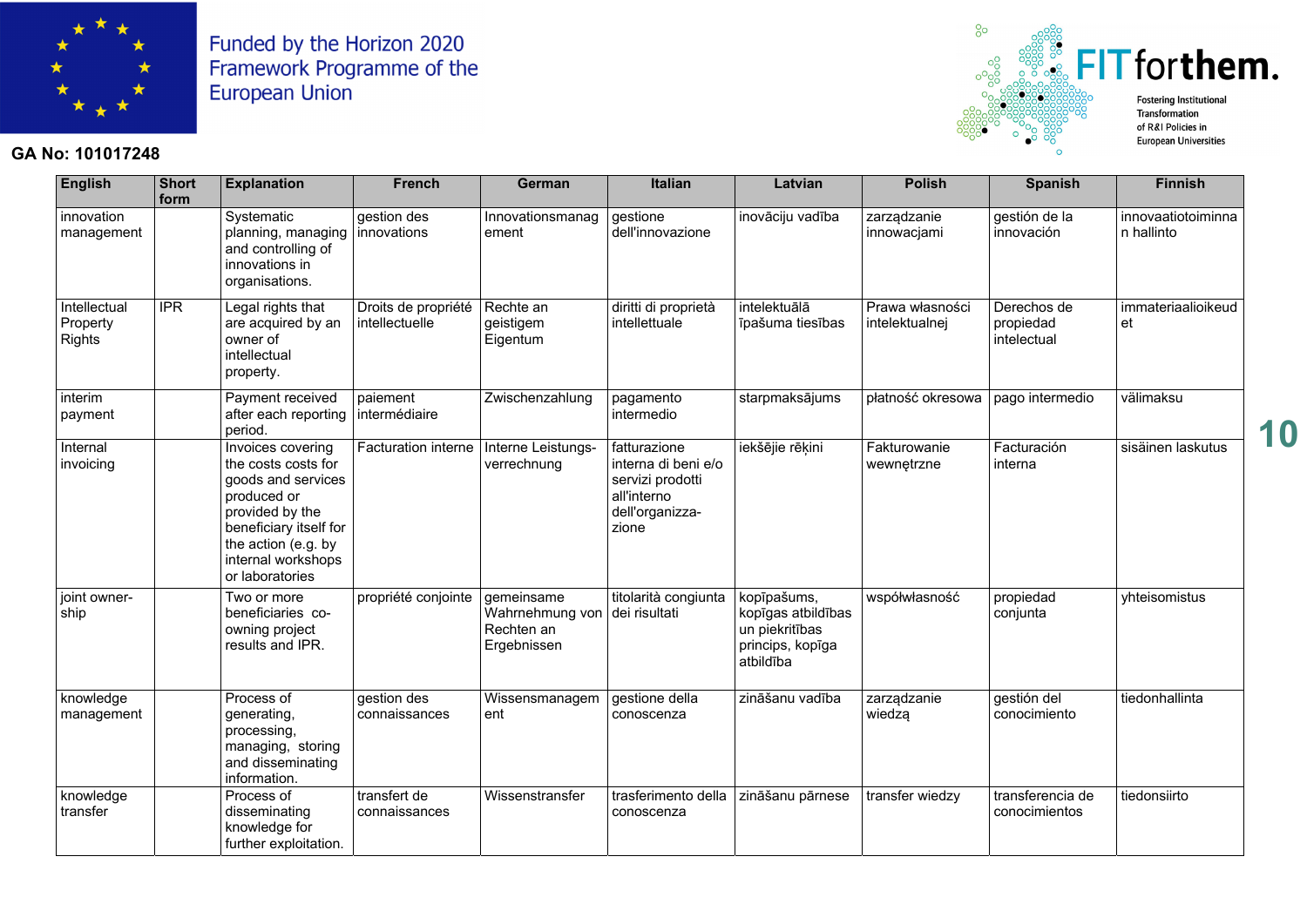

#### **GA No: 101017248**



| <b>English</b>                            | <b>Short</b><br>form | <b>Explanation</b>                                                                                                                                                                         | <b>French</b>                         | German                                                                   | <b>Italian</b>                                                                                     | Latvian                                                                              | <b>Polish</b>                     | <b>Spanish</b>                          | <b>Finnish</b>                   |
|-------------------------------------------|----------------------|--------------------------------------------------------------------------------------------------------------------------------------------------------------------------------------------|---------------------------------------|--------------------------------------------------------------------------|----------------------------------------------------------------------------------------------------|--------------------------------------------------------------------------------------|-----------------------------------|-----------------------------------------|----------------------------------|
| innovation<br>management                  |                      | Systematic<br>planning, managing<br>and controlling of<br>innovations in<br>organisations.                                                                                                 | gestion des<br>innovations            | Innovationsmanag<br>ement                                                | gestione<br>dell'innovazione                                                                       | inovāciju vadība                                                                     | zarządzanie<br>innowacjami        | gestión de la<br>innovación             | innovaatiotoiminna<br>n hallinto |
| Intellectual<br>Property<br><b>Rights</b> | <b>IPR</b>           | Legal rights that<br>are acquired by an<br>owner of<br>intellectual<br>property.                                                                                                           | Droits de propriété<br>intellectuelle | Rechte an<br>geistigem<br>Eigentum                                       | diritti di proprietà<br>intellettuale                                                              | intelektuālā<br>īpašuma tiesības                                                     | Prawa własności<br>intelektualnej | Derechos de<br>propiedad<br>intelectual | immateriaalioikeud<br>et         |
| interim<br>payment                        |                      | Payment received<br>after each reporting<br>period.                                                                                                                                        | paiement<br>intermédiaire             | Zwischenzahlung                                                          | pagamento<br>intermedio                                                                            | starpmaksājums                                                                       | płatność okresowa                 | pago intermedio                         | välimaksu                        |
| Internal<br>invoicing                     |                      | Invoices covering<br>the costs costs for<br>goods and services<br>produced or<br>provided by the<br>beneficiary itself for<br>the action (e.g. by<br>internal workshops<br>or laboratories | <b>Facturation interne</b>            | Interne Leistungs-<br>verrechnung                                        | fatturazione<br>interna di beni e/o<br>servizi prodotti<br>all'interno<br>dell'organizza-<br>zione | iekšējie rēķini                                                                      | Fakturowanie<br>wewnętrzne        | Facturación<br>interna                  | sisäinen laskutus                |
| joint owner-<br>ship                      |                      | Two or more<br>beneficiaries co-<br>owning project<br>results and IPR.                                                                                                                     | propriété conjointe                   | gemeinsame<br>Wahrnehmung von dei risultati<br>Rechten an<br>Ergebnissen | titolarità congiunta                                                                               | kopīpašums,<br>kopīgas atbildības<br>un piekritības<br>princips, kopīga<br>atbildība | współwłasność                     | propiedad<br>conjunta                   | yhteisomistus                    |
| knowledge<br>management                   |                      | Process of<br>generating,<br>processing,<br>managing, storing<br>and disseminating<br>information.                                                                                         | gestion des<br>connaissances          | Wissensmanagem<br>ent                                                    | gestione della<br>conoscenza                                                                       | zināšanu vadība                                                                      | zarządzanie<br>wiedzą             | gestión del<br>conocimiento             | tiedonhallinta                   |
| knowledge<br>transfer                     |                      | Process of<br>disseminating<br>knowledge for<br>further exploitation.                                                                                                                      | transfert de<br>connaissances         | Wissenstransfer                                                          | trasferimento della<br>conoscenza                                                                  | zināšanu pārnese                                                                     | transfer wiedzy                   | transferencia de<br>conocimientos       | tiedonsiirto                     |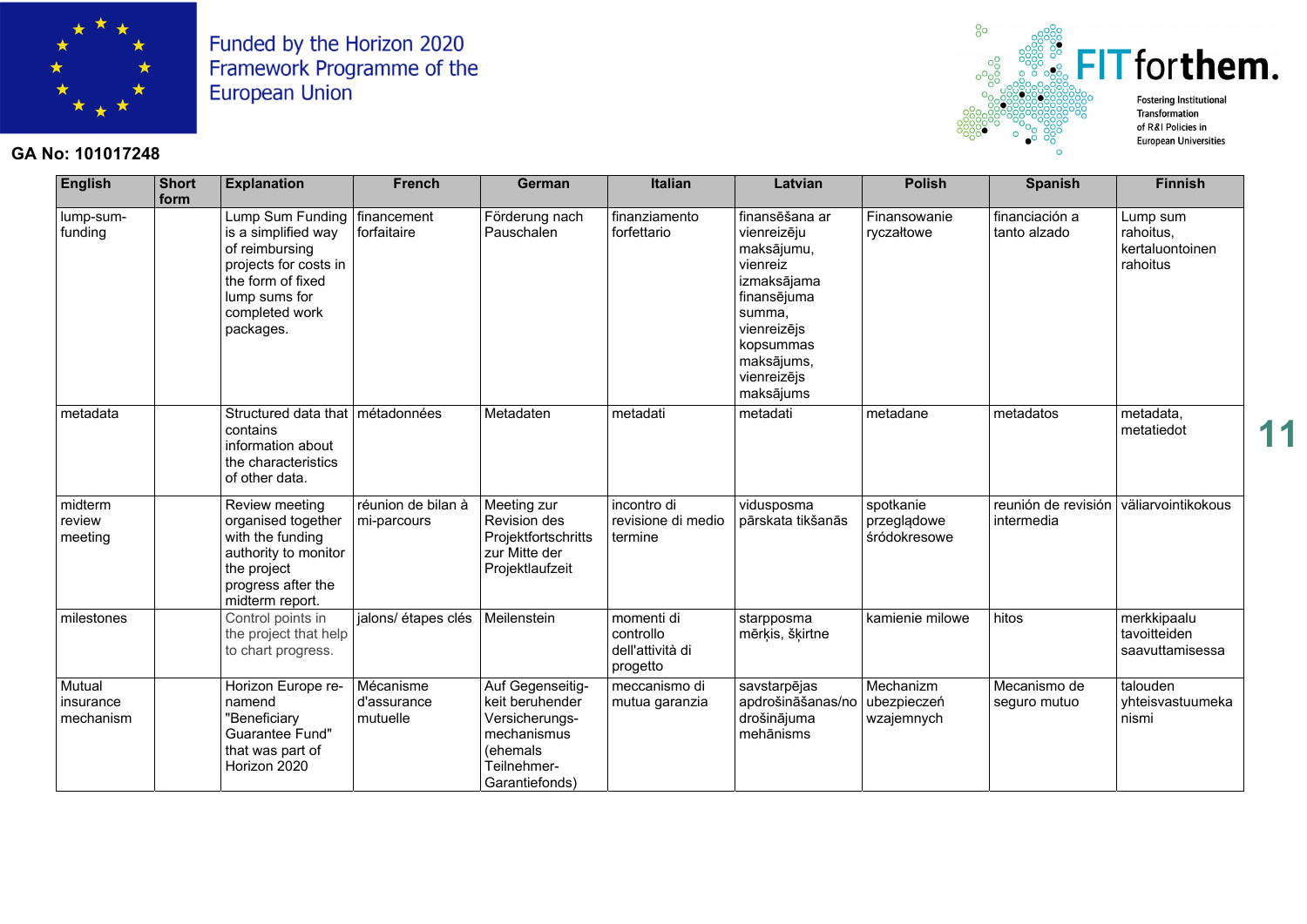

#### **GA No: 101017248**



| <b>English</b>                   | <b>Short</b><br>form | <b>Explanation</b>                                                                                                                                                    | <b>French</b>                        | German                                                                                                            | <b>Italian</b>                                          | Latvian                                                                                                                                                               | <b>Polish</b>                            | <b>Spanish</b>                    | <b>Finnish</b>                                       |
|----------------------------------|----------------------|-----------------------------------------------------------------------------------------------------------------------------------------------------------------------|--------------------------------------|-------------------------------------------------------------------------------------------------------------------|---------------------------------------------------------|-----------------------------------------------------------------------------------------------------------------------------------------------------------------------|------------------------------------------|-----------------------------------|------------------------------------------------------|
| lump-sum-<br>funding             |                      | Lump Sum Funding   financement<br>is a simplified way<br>of reimbursing<br>projects for costs in<br>the form of fixed<br>lump sums for<br>completed work<br>packages. | forfaitaire                          | Förderung nach<br>Pauschalen                                                                                      | finanziamento<br>forfettario                            | finansēšana ar<br>vienreizēju<br>maksājumu,<br>vienreiz<br>izmaksājama<br>finansējuma<br>summa,<br>vienreizējs<br>kopsummas<br>maksājums,<br>vienreizējs<br>maksājums | Finansowanie<br>ryczałtowe               | financiación a<br>tanto alzado    | Lump sum<br>rahoitus,<br>kertaluontoinen<br>rahoitus |
| metadata                         |                      | Structured data that   métadonnées<br>contains<br>information about<br>the characteristics<br>of other data.                                                          |                                      | Metadaten                                                                                                         | metadati                                                | metadati                                                                                                                                                              | metadane                                 | metadatos                         | metadata,<br>metatiedot                              |
| midterm<br>review<br>meeting     |                      | Review meeting<br>organised together<br>with the funding<br>authority to monitor<br>the project<br>progress after the<br>midterm report.                              | réunion de bilan à<br>mi-parcours    | Meeting zur<br><b>Revision des</b><br>Projektfortschritts<br>zur Mitte der<br>Projektlaufzeit                     | incontro di<br>revisione di medio<br>termine            | vidusposma<br>pārskata tikšanās                                                                                                                                       | spotkanie<br>przeglądowe<br>śródokresowe | reunión de revisión<br>intermedia | väliarvointikokous                                   |
| milestones                       |                      | Control points in<br>the project that help<br>to chart progress.                                                                                                      | jalons/ étapes clés                  | Meilenstein                                                                                                       | momenti di<br>controllo<br>dell'attività di<br>progetto | starpposma<br>mērķis, šķirtne                                                                                                                                         | kamienie milowe                          | hitos                             | merkkipaalu<br>tavoitteiden<br>saavuttamisessa       |
| Mutual<br>insurance<br>mechanism |                      | Horizon Europe re-<br>namend<br>'Beneficiary<br>Guarantee Fund"<br>that was part of<br>Horizon 2020                                                                   | Mécanisme<br>d'assurance<br>mutuelle | Auf Gegenseitig-<br>keit beruhender<br>Versicherungs-<br>mechanismus<br>(ehemals<br>Teilnehmer-<br>Garantiefonds) | meccanismo di<br>mutua garanzia                         | savstarpējas<br>apdrošināšanas/no<br>drošinājuma<br>mehānisms                                                                                                         | Mechanizm<br>ubezpieczeń<br>wzajemnych   | Mecanismo de<br>seguro mutuo      | talouden<br>yhteisvastuumeka<br>nismi                |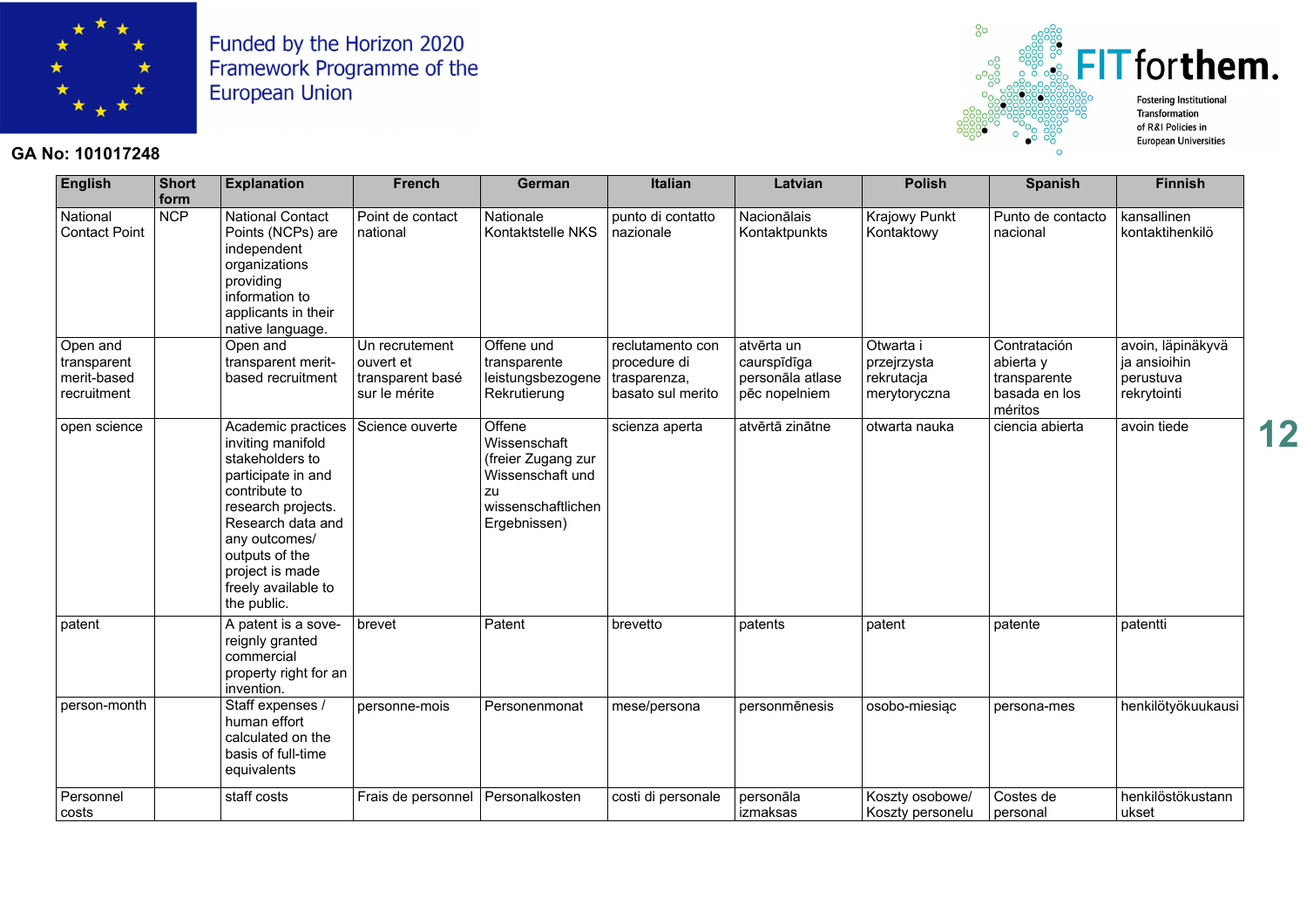

#### **GA No: 101017248**



| <b>English</b>                                        | <b>Short</b><br>form | <b>Explanation</b>                                                                                                                                                                                                                       | <b>French</b>                                                    | German                                                                                                       | <b>Italian</b>                                                        | Latvian                                                        | <b>Polish</b>                                          | <b>Spanish</b>                                                        | <b>Finnish</b>                                                |
|-------------------------------------------------------|----------------------|------------------------------------------------------------------------------------------------------------------------------------------------------------------------------------------------------------------------------------------|------------------------------------------------------------------|--------------------------------------------------------------------------------------------------------------|-----------------------------------------------------------------------|----------------------------------------------------------------|--------------------------------------------------------|-----------------------------------------------------------------------|---------------------------------------------------------------|
| National<br><b>Contact Point</b>                      | <b>NCP</b>           | <b>National Contact</b><br>Points (NCPs) are<br>independent<br>organizations<br>providing<br>information to<br>applicants in their<br>native language.                                                                                   | Point de contact<br>national                                     | Nationale<br>Kontaktstelle NKS                                                                               | punto di contatto<br>nazionale                                        | Nacionālais<br>Kontaktpunkts                                   | <b>Krajowy Punkt</b><br>Kontaktowy                     | Punto de contacto<br>nacional                                         | kansallinen<br>kontaktihenkilö                                |
| Open and<br>transparent<br>merit-based<br>recruitment |                      | Open and<br>transparent merit-<br>based recruitment                                                                                                                                                                                      | Un recrutement<br>ouvert et<br>transparent basé<br>sur le mérite | Offene und<br>transparente<br>leistungsbezogene<br>Rekrutierung                                              | reclutamento con<br>procedure di<br>trasparenza,<br>basato sul merito | atvērta un<br>caurspīdīga<br>personāla atlase<br>pēc nopelniem | Otwarta i<br>przejrzysta<br>rekrutacja<br>merytoryczna | Contratación<br>abierta y<br>transparente<br>basada en los<br>méritos | avoin, läpinäkyvä<br>ja ansioihin<br>perustuva<br>rekrytointi |
| open science                                          |                      | Academic practices<br>inviting manifold<br>stakeholders to<br>participate in and<br>contribute to<br>research projects.<br>Research data and<br>any outcomes/<br>outputs of the<br>project is made<br>freely available to<br>the public. | Science ouverte                                                  | Offene<br>Wissenschaft<br>(freier Zugang zur<br>Wissenschaft und<br>zu<br>wissenschaftlichen<br>Ergebnissen) | scienza aperta                                                        | atvērtā zinātne                                                | otwarta nauka                                          | ciencia abierta                                                       | avoin tiede                                                   |
| patent                                                |                      | A patent is a sove-<br>reignly granted<br>commercial<br>property right for an<br>invention.                                                                                                                                              | brevet                                                           | Patent                                                                                                       | brevetto                                                              | patents                                                        | patent                                                 | patente                                                               | patentti                                                      |
| person-month                                          |                      | Staff expenses /<br>human effort<br>calculated on the<br>basis of full-time<br>equivalents                                                                                                                                               | personne-mois                                                    | Personenmonat                                                                                                | mese/persona                                                          | personmēnesis                                                  | osobo-miesiąc                                          | persona-mes                                                           | henkilötyökuukausi                                            |
| Personnel<br>costs                                    |                      | staff costs                                                                                                                                                                                                                              | Frais de personnel                                               | Personalkosten                                                                                               | costi di personale                                                    | personāla<br>izmaksas                                          | Koszty osobowe/<br>Koszty personelu                    | Costes de<br>personal                                                 | henkilöstökustann<br>ukset                                    |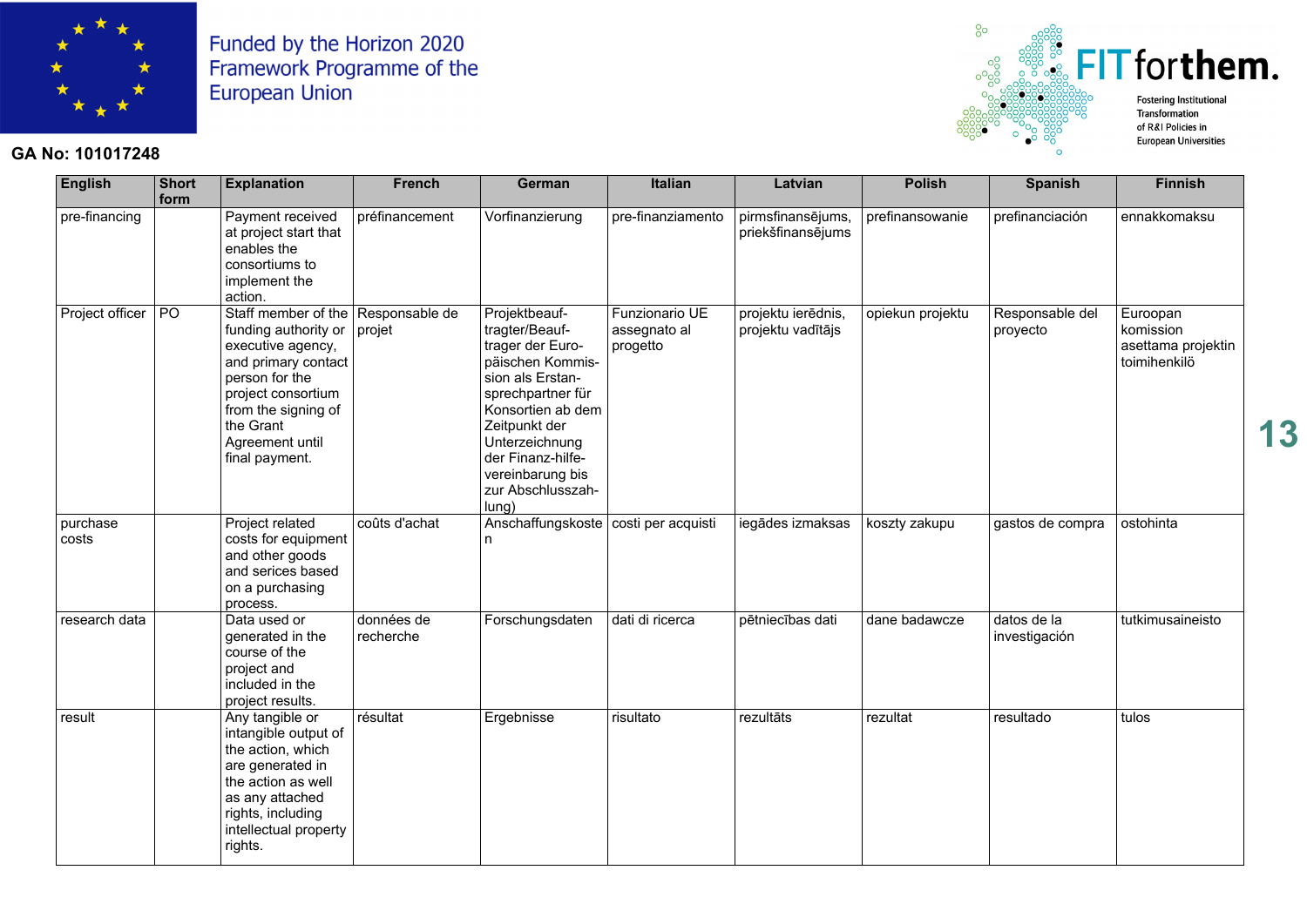

#### **GA No: 101017248**



| <b>English</b>    | <b>Short</b><br>form | <b>Explanation</b>                                                                                                                                                                                                      | French                  | German                                                                                                                                                                                                                                          | <b>Italian</b>                             | Latvian                                 | <b>Polish</b>    | <b>Spanish</b>               | <b>Finnish</b>                                              |
|-------------------|----------------------|-------------------------------------------------------------------------------------------------------------------------------------------------------------------------------------------------------------------------|-------------------------|-------------------------------------------------------------------------------------------------------------------------------------------------------------------------------------------------------------------------------------------------|--------------------------------------------|-----------------------------------------|------------------|------------------------------|-------------------------------------------------------------|
| pre-financing     |                      | Payment received<br>at project start that<br>enables the<br>consortiums to<br>implement the<br>action.                                                                                                                  | préfinancement          | Vorfinanzierung                                                                                                                                                                                                                                 | pre-finanziamento                          | pirmsfinansējums,<br>priekšfinansējums  | prefinansowanie  | prefinanciación              | ennakkomaksu                                                |
| Project officer   | $P$ O                | Staff member of the Responsable de<br>funding authority or<br>executive agency,<br>and primary contact<br>person for the<br>project consortium<br>from the signing of<br>the Grant<br>Agreement until<br>final payment. | projet                  | Projektbeauf-<br>tragter/Beauf-<br>trager der Euro-<br>päischen Kommis-<br>sion als Erstan-<br>sprechpartner für<br>Konsortien ab dem<br>Zeitpunkt der<br>Unterzeichnung<br>der Finanz-hilfe-<br>vereinbarung bis<br>zur Abschlusszah-<br>lung) | Funzionario UE<br>assegnato al<br>progetto | projektu ierēdnis,<br>projektu vadītājs | opiekun projektu | Responsable del<br>proyecto  | Euroopan<br>komission<br>asettama projektin<br>toimihenkilö |
| purchase<br>costs |                      | Project related<br>costs for equipment<br>and other goods<br>and serices based<br>on a purchasing<br>process.                                                                                                           | coûts d'achat           | Anschaffungskoste   costi per acquisti<br>n                                                                                                                                                                                                     |                                            | iegādes izmaksas                        | koszty zakupu    | gastos de compra             | ostohinta                                                   |
| research data     |                      | Data used or<br>generated in the<br>course of the<br>project and<br>included in the<br>project results.                                                                                                                 | données de<br>recherche | Forschungsdaten                                                                                                                                                                                                                                 | dati di ricerca                            | pētniecības dati                        | dane badawcze    | datos de la<br>investigación | tutkimusaineisto                                            |
| result            |                      | Any tangible or<br>intangible output of<br>the action, which<br>are generated in<br>the action as well<br>as any attached<br>rights, including<br>intellectual property<br>rights.                                      | résultat                | Ergebnisse                                                                                                                                                                                                                                      | risultato                                  | rezultāts                               | rezultat         | resultado                    | tulos                                                       |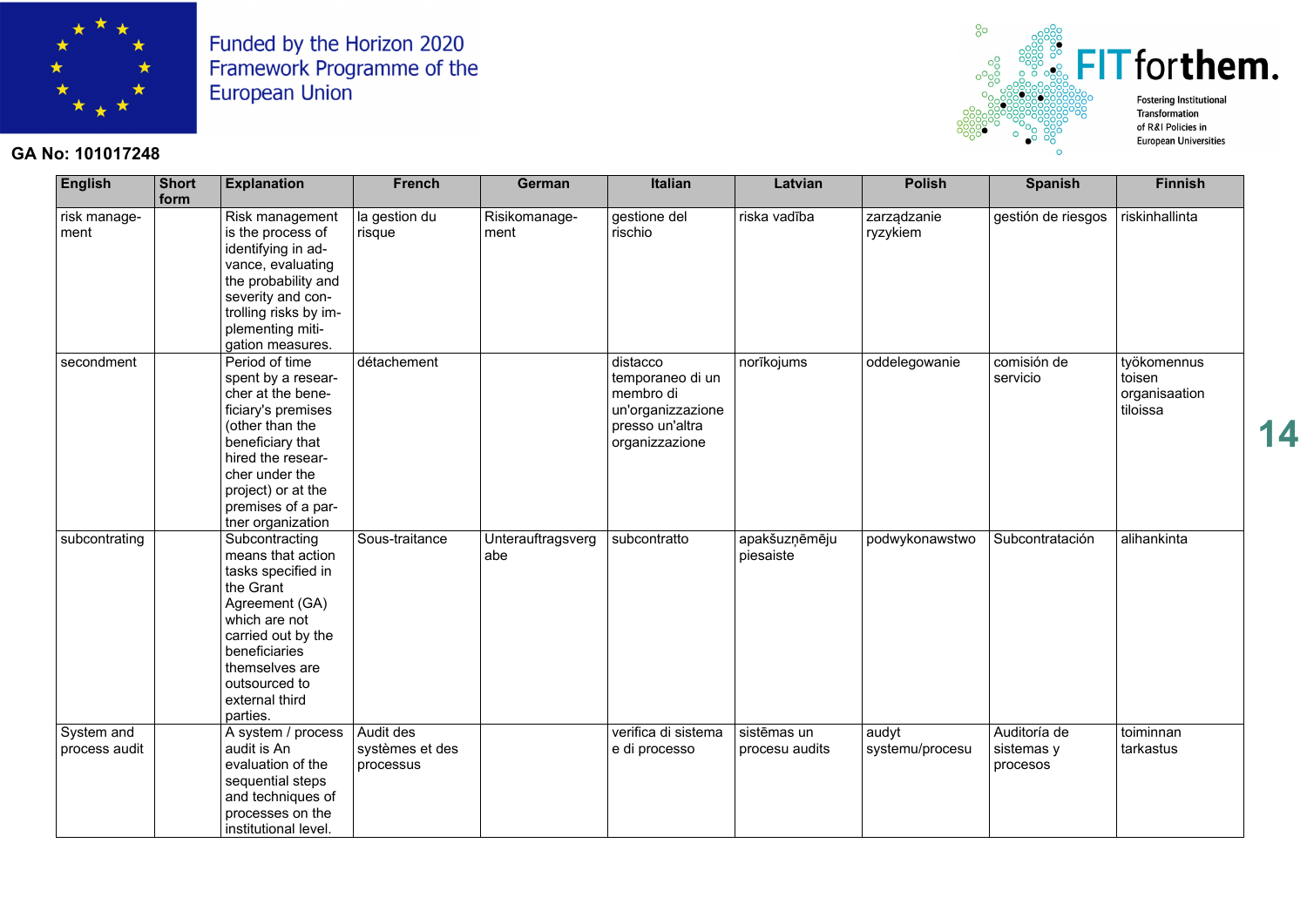

#### **GA No: 101017248**



| <b>English</b>              | <b>Short</b><br>form | <b>Explanation</b>                                                                                                                                                                                                             | <b>French</b>                             | German                   | <b>Italian</b>                                                                                      | Latvian                       | <b>Polish</b>            | <b>Spanish</b>                         | <b>Finnish</b>                                     |
|-----------------------------|----------------------|--------------------------------------------------------------------------------------------------------------------------------------------------------------------------------------------------------------------------------|-------------------------------------------|--------------------------|-----------------------------------------------------------------------------------------------------|-------------------------------|--------------------------|----------------------------------------|----------------------------------------------------|
| risk manage-<br>ment        |                      | Risk management<br>is the process of<br>identifying in ad-<br>vance, evaluating<br>the probability and<br>severity and con-<br>trolling risks by im-<br>plementing miti-<br>gation measures.                                   | la gestion du<br>risque                   | Risikomanage-<br>ment    | gestione del<br>rischio                                                                             | riska vadība                  | zarządzanie<br>ryzykiem  | gestión de riesgos                     | riskinhallinta                                     |
| secondment                  |                      | Period of time<br>spent by a resear-<br>cher at the bene-<br>ficiary's premises<br>(other than the<br>beneficiary that<br>hired the resear-<br>cher under the<br>project) or at the<br>premises of a par-<br>tner organization | détachement                               |                          | distacco<br>temporaneo di un<br>membro di<br>un'organizzazione<br>presso un'altra<br>organizzazione | norīkojums                    | oddelegowanie            | comisión de<br>servicio                | työkomennus<br>toisen<br>organisaation<br>tiloissa |
| subcontrating               |                      | Subcontracting<br>means that action<br>tasks specified in<br>the Grant<br>Agreement (GA)<br>which are not<br>carried out by the<br>beneficiaries<br>themselves are<br>outsourced to<br>external third<br>parties.              | Sous-traitance                            | Unterauftragsverg<br>abe | subcontratto                                                                                        | apakšuzņēmēju<br>piesaiste    | podwykonawstwo           | Subcontratación                        | alihankinta                                        |
| System and<br>process audit |                      | A system / process<br>audit is An<br>evaluation of the<br>sequential steps<br>and techniques of<br>processes on the<br>institutional level.                                                                                    | Audit des<br>systèmes et des<br>processus |                          | verifica di sistema<br>e di processo                                                                | sistēmas un<br>procesu audits | audyt<br>systemu/procesu | Auditoría de<br>sistemas y<br>procesos | toiminnan<br>tarkastus                             |